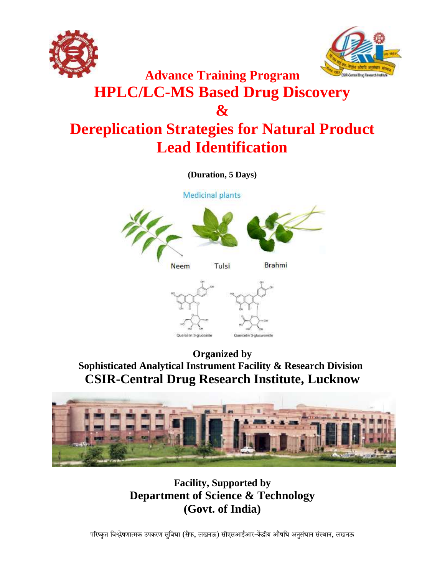



# **Advance Training Program HPLC/LC-MS Based Drug Discovery & Dereplication Strategies for Natural Product Lead Identification**

**(Duration, 5 Days)**

**Medicinal plants** 





**Organized by Sophisticated Analytical Instrument Facility & Research Division CSIR-Central Drug Research Institute, Lucknow**



**Facility, Supported by Department of Science & Technology (Govt. of India)**

परिष्कृत विश्लेषणात्मक उपकरण सुविधा (सैफ, लखनऊ) सीएसआईआर-केंद्रीय औषधि अनुसंधान संस्थान, लखनऊ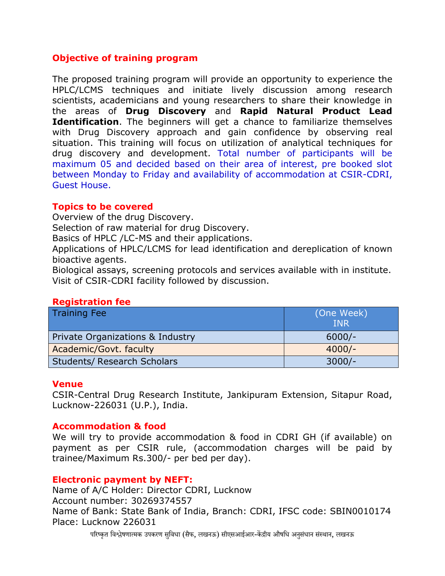# **Objective of training program**

The proposed training program will provide an opportunity to experience the HPLC/LCMS techniques and initiate lively discussion among research scientists, academicians and young researchers to share their knowledge in the areas of **Drug Discovery** and **Rapid Natural Product Lead Identification**. The beginners will get a chance to familiarize themselves with Drug Discovery approach and gain confidence by observing real situation. This training will focus on utilization of analytical techniques for drug discovery and development. Total number of participants will be maximum 05 and decided based on their area of interest, pre booked slot between Monday to Friday and availability of accommodation at CSIR-CDRI, Guest House.

#### **Topics to be covered**

Overview of the drug Discovery.

Selection of raw material for drug Discovery.

Basics of HPLC /LC-MS and their applications.

Applications of HPLC/LCMS for lead identification and dereplication of known bioactive agents.

Biological assays, screening protocols and services available with in institute. Visit of CSIR-CDRI facility followed by discussion.

#### **Registration fee**

| <b>Training Fee</b>                | (One Week)<br><b>INR</b> |
|------------------------------------|--------------------------|
| Private Organizations & Industry   | $6000/-$                 |
| Academic/Govt. faculty             | $4000/-$                 |
| <b>Students/ Research Scholars</b> | $3000/-$                 |

# **Venue**

CSIR-Central Drug Research Institute, Jankipuram Extension, Sitapur Road, Lucknow-226031 (U.P.), India.

# **Accommodation & food**

We will try to provide accommodation & food in CDRI GH (if available) on payment as per CSIR rule, (accommodation charges will be paid by trainee/Maximum Rs.300/- per bed per day).

#### **Electronic payment by NEFT:**

Name of A/C Holder: Director CDRI, Lucknow Account number: 30269374557 Name of Bank: State Bank of India, Branch: CDRI, IFSC code: SBIN0010174 Place: Lucknow 226031

परिष्कृत विश्लेषणात्मक उपकरण सविधा (सैफ, लखनऊ) सीएसआईआर-केंद्रीय औषधि अनसंधान संस्थान, लखनऊ